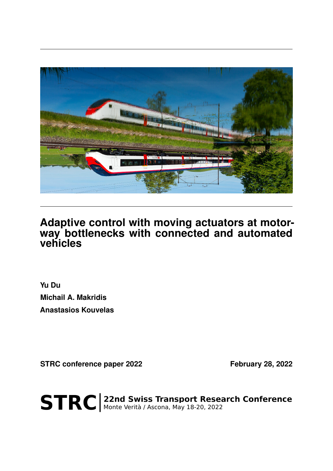

## **Adaptive control with moving actuators at motorway bottlenecks with connected and automated vehicles**

**Yu Du Michail A. Makridis Anastasios Kouvelas**

STRC conference paper 2022 February 28, 2022

STRC | 22nd Swiss Transport Research Conference